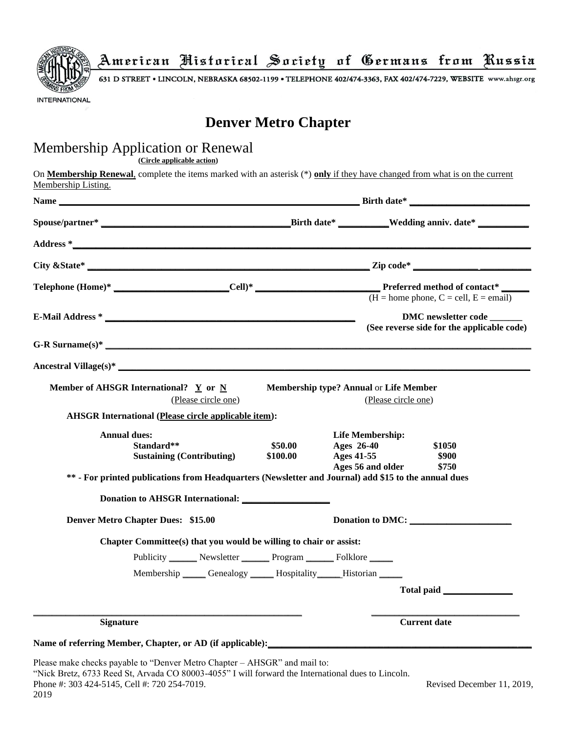

American Historical Society of Germans from Russia

631 D STREET . LINCOLN, NEBRASKA 68502-1199 . TELEPHONE 402/474-3363, FAX 402/474-7229, WEBSITE www.ahsgr.org

# **Denver Metro Chapter**

## Membership Application or Renewal

**(Circle applicable action)**

On **Membership Renewal**, complete the items marked with an asterisk (\*) **only** if they have changed from what is on the current Membership Listing.

| <b>Name</b><br><u> 1989 - Johann Barn, mars ann an t-Amhain an t-Amhain an t-Amhain an t-Amhain an t-Amhain an t-Amhain an t-Amh</u> |                                                               |                                                                   |                          |  |  |
|--------------------------------------------------------------------------------------------------------------------------------------|---------------------------------------------------------------|-------------------------------------------------------------------|--------------------------|--|--|
|                                                                                                                                      |                                                               |                                                                   |                          |  |  |
|                                                                                                                                      |                                                               |                                                                   |                          |  |  |
|                                                                                                                                      |                                                               |                                                                   |                          |  |  |
|                                                                                                                                      |                                                               | $(H = home phone, C = cell, E = email)$                           |                          |  |  |
|                                                                                                                                      |                                                               | DMC newsletter code<br>(See reverse side for the applicable code) |                          |  |  |
| $G-R$ Surname(s)*                                                                                                                    |                                                               |                                                                   |                          |  |  |
| Ancestral Village $(s)^*$                                                                                                            |                                                               |                                                                   |                          |  |  |
| Member of AHSGR International? $Y$ or $N$<br>(Please circle one)<br><b>AHSGR International (Please circle applicable item):</b>      | Membership type? Annual or Life Member<br>(Please circle one) |                                                                   |                          |  |  |
| <b>Annual dues:</b>                                                                                                                  |                                                               | <b>Life Membership:</b>                                           |                          |  |  |
| Standard**<br><b>Sustaining (Contributing)</b>                                                                                       | \$50.00<br>\$100.00                                           | Ages 26-40<br>Ages 41-55<br>Ages 56 and older                     | \$1050<br>\$900<br>\$750 |  |  |
| ** - For printed publications from Headquarters (Newsletter and Journal) add \$15 to the annual dues                                 |                                                               |                                                                   |                          |  |  |
|                                                                                                                                      |                                                               |                                                                   |                          |  |  |
| <b>Denver Metro Chapter Dues: \$15.00</b>                                                                                            | Donation to DMC:                                              |                                                                   |                          |  |  |
| Chapter Committee(s) that you would be willing to chair or assist:                                                                   |                                                               |                                                                   |                          |  |  |
| Publicity ________ Newsletter ________ Program _______ Folklore ______                                                               |                                                               |                                                                   |                          |  |  |
| Membership Cenealogy _____ Hospitality _____ Historian _____                                                                         |                                                               |                                                                   |                          |  |  |
|                                                                                                                                      |                                                               |                                                                   |                          |  |  |
| <b>Signature</b>                                                                                                                     | <b>Current date</b>                                           |                                                                   |                          |  |  |
| Name of referring Member, Chapter, or AD (if applicable):                                                                            |                                                               |                                                                   |                          |  |  |
| Please make checks payable to "Denver Metro Chapter - AHSGR" and mail to:                                                            |                                                               |                                                                   |                          |  |  |

"Nick Bretz, 6733 Reed St, Arvada CO 80003-4055" I will forward the International dues to Lincoln. Phone #: 303 424-5145, Cell #: 720 254-7019. Revised December 11, 2019,